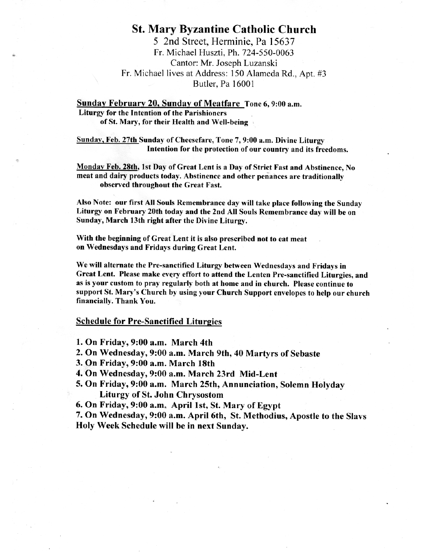# **St. Mary Byzantine Catholic Church**

5 2nd Street, Herminie, Pa 15637 Fr. Michael Huszti, Ph. 724-550-0063 Cantor: Mr. Joseph Luzanski Fr. Michael lives at Address: 150 Alameda Rd., Apt. #3 Butler, Pa 16001

Sunday February 20, Sunday of Meatfare Tone 6, 9:00 a.m. **Liturgy for the Intention of the Parishioners** 

of St. Mary, for their Health and Well-being

Sunday, Feb. 27th Sunday of Cheesefare, Tone 7, 9:00 a.m. Divine Liturgy Intention for the protection of our country and its freedoms.

Monday Feb. 28th, 1st Day of Great Lent is a Day of Strict Fast and Abstinence, No meat and dairy products today. Abstinence and other penances are traditionally observed throughout the Great Fast.

Also Note: our first All Souls Remembrance day will take place following the Sunday Liturgy on February 20th today and the 2nd All Souls Remembrance day will be on Sunday, March 13th right after the Divine Liturgy.

With the beginning of Great Lent it is also prescribed not to eat meat on Wednesdays and Fridays during Great Lent.

We will alternate the Pre-sanctified Liturgy between Wednesdays and Fridays in Great Lent. Please make every effort to attend the Lenten Pre-sanctified Liturgies, and as is your custom to pray regularly both at home and in church. Please continue to support St. Mary's Church by using your Church Support envelopes to help our church financially. Thank You.

#### **Schedule for Pre-Sanctified Liturgies**

1. On Friday, 9:00 a.m. March 4th

- 2. On Wednesday, 9:00 a.m. March 9th, 40 Martyrs of Sebaste
- 3. On Friday, 9:00 a.m. March 18th
- 4. On Wednesday, 9:00 a.m. March 23rd Mid-Lent
- 5. On Friday, 9:00 a.m. March 25th, Annunciation, Solemn Holyday **Liturgy of St. John Chrysostom**
- 6. On Friday, 9:00 a.m. April 1st, St. Mary of Egypt

7. On Wednesday, 9:00 a.m. April 6th, St. Methodius, Apostle to the Slavs Holy Week Schedule will be in next Sunday.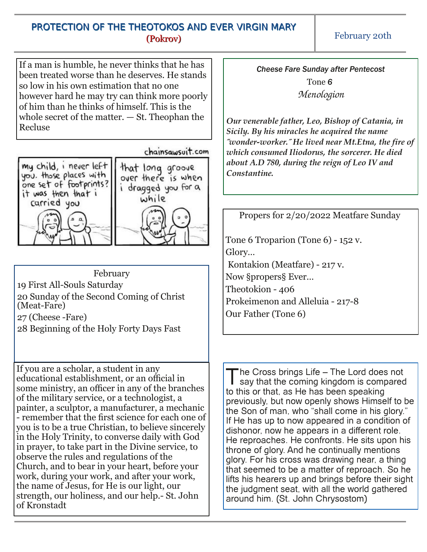## PROTECTION OF THE THEOTOKOS AND EVER VIRGIN MARY (Pokrov)

February 20th

If a man is humble, he never thinks that he has been treated worse than he deserves. He stands so low in his own estimation that no one however hard he may try can think more poorly of him than he thinks of himself. This is the whole secret of the matter. — St. Theophan the Recluse

### chainsawsuit.com



February

19 First All-Souls Saturday

20 Sunday of the Second Coming of Christ (Meat-Fare)

27 (Cheese Fare)

28 Beginning of the Holy Forty Days Fast

If you are a scholar, a student in any educational establishment, or an official in some ministry, an officer in any of the branches of the military service, or a technologist, a painter, a sculptor, a manufacturer, a mechanic remember that the first science for each one of you is to be a true Christian, to believe sincerely in the Holy Trinity, to converse daily with God in prayer, to take part in the Divine service, to observe the rules and regulations of the Church, and to bear in your heart, before your work, during your work, and after your work, the name of Jesus, for He is our light, our strength, our holiness, and our help. St. John of Kronstadt

*Cheese Fare Sunday after Pentecost* Tone *6 Menologion*

*Our venerable father, Leo, Bishop of Catania, in Sicily. By his miracles he acquired the name ˝wonderworker.˝ He lived near Mt.Etna, the fire of which consumed Iliodorus, the sorcerer. He died about A.D 780, during the reign of Leo IV and Constantine.*

Propers for 2/20/2022 Meatfare Sunday

Tone 6 Troparion (Tone  $6$ ) - 152 v. Glory… Kontakion (Meatfare) - 217 v. Now §propers§ Ever… Theotokion - 406 Prokeimenon and Alleluia - 217-8 Our Father (Tone 6)

 $\overline{\text{I}}$ he Cross brings Life – The Lord does not say that the coming kingdom is compared to this or that, as He has been speaking previously, but now openly shows Himself to be the Son of man, who "shall come in his glory." If He has up to now appeared in a condition of dishonor, now he appears in a different role. He reproaches. He confronts. He sits upon his throne of glory. And he continually mentions glory. For his cross was drawing near, a thing that seemed to be a matter of reproach. So he lifts his hearers up and brings before their sight the judgment seat, with all the world gathered around him. (St. John Chrysostom)